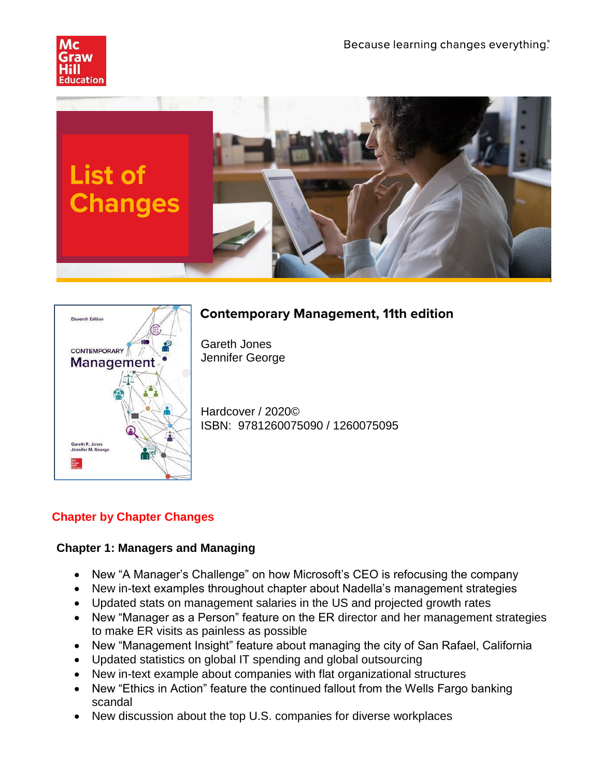



# **Contemporary Management, 11th edition**

Gareth Jones Jennifer George

Hardcover / 2020© ISBN: 9781260075090 / 1260075095

# **Chapter by Chapter Changes**

# **Chapter 1: Managers and Managing**

- New "A Manager's Challenge" on how Microsoft's CEO is refocusing the company
- New in-text examples throughout chapter about Nadella's management strategies
- Updated stats on management salaries in the US and projected growth rates
- New "Manager as a Person" feature on the ER director and her management strategies to make ER visits as painless as possible
- New "Management Insight" feature about managing the city of San Rafael, California
- Updated statistics on global IT spending and global outsourcing
- New in-text example about companies with flat organizational structures
- New "Ethics in Action" feature the continued fallout from the Wells Fargo banking scandal
- New discussion about the top U.S. companies for diverse workplaces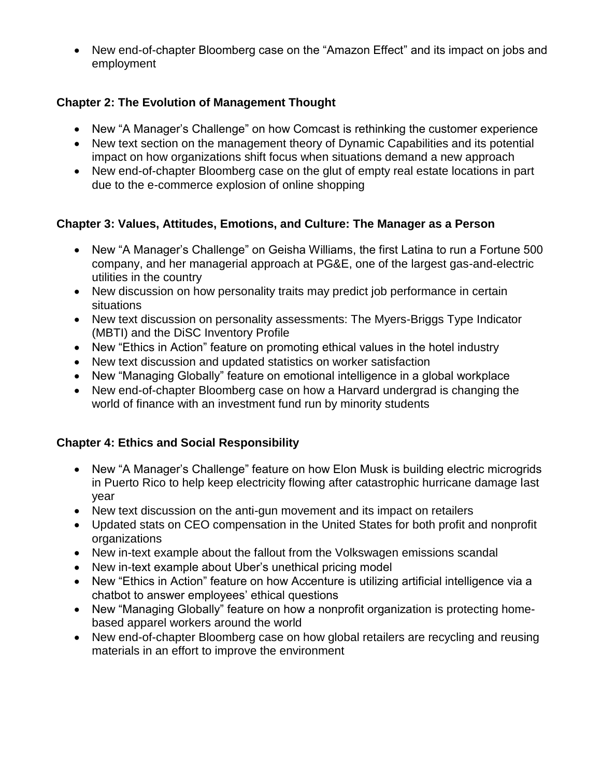• New end-of-chapter Bloomberg case on the "Amazon Effect" and its impact on jobs and employment

### **Chapter 2: The Evolution of Management Thought**

- New "A Manager's Challenge" on how Comcast is rethinking the customer experience
- New text section on the management theory of Dynamic Capabilities and its potential impact on how organizations shift focus when situations demand a new approach
- New end-of-chapter Bloomberg case on the glut of empty real estate locations in part due to the e-commerce explosion of online shopping

#### **Chapter 3: Values, Attitudes, Emotions, and Culture: The Manager as a Person**

- New "A Manager's Challenge" on Geisha Williams, the first Latina to run a Fortune 500 company, and her managerial approach at PG&E, one of the largest gas-and-electric utilities in the country
- New discussion on how personality traits may predict job performance in certain situations
- New text discussion on personality assessments: The Myers-Briggs Type Indicator (MBTI) and the DiSC Inventory Profile
- New "Ethics in Action" feature on promoting ethical values in the hotel industry
- New text discussion and updated statistics on worker satisfaction
- New "Managing Globally" feature on emotional intelligence in a global workplace
- New end-of-chapter Bloomberg case on how a Harvard undergrad is changing the world of finance with an investment fund run by minority students

#### **Chapter 4: Ethics and Social Responsibility**

- New "A Manager's Challenge" feature on how Elon Musk is building electric microgrids in Puerto Rico to help keep electricity flowing after catastrophic hurricane damage last year
- New text discussion on the anti-gun movement and its impact on retailers
- Updated stats on CEO compensation in the United States for both profit and nonprofit organizations
- New in-text example about the fallout from the Volkswagen emissions scandal
- New in-text example about Uber's unethical pricing model
- New "Ethics in Action" feature on how Accenture is utilizing artificial intelligence via a chatbot to answer employees' ethical questions
- New "Managing Globally" feature on how a nonprofit organization is protecting homebased apparel workers around the world
- New end-of-chapter Bloomberg case on how global retailers are recycling and reusing materials in an effort to improve the environment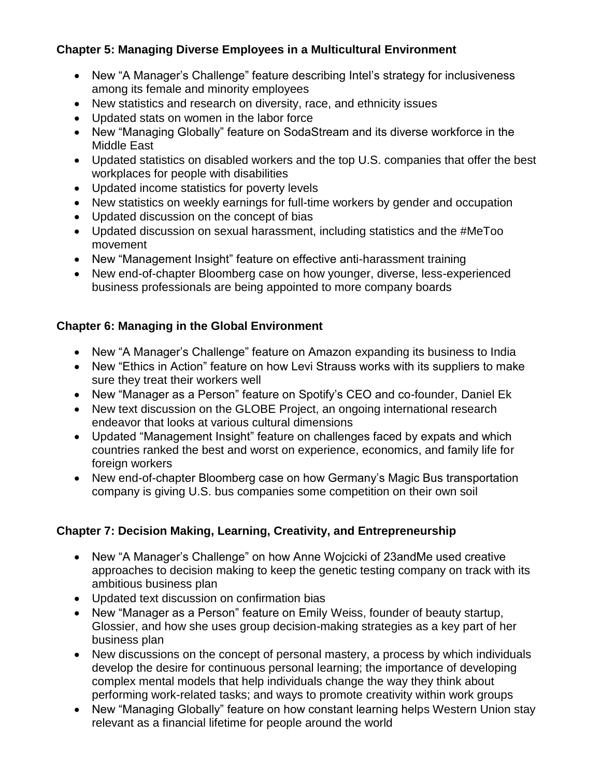### **Chapter 5: Managing Diverse Employees in a Multicultural Environment**

- New "A Manager's Challenge" feature describing Intel's strategy for inclusiveness among its female and minority employees
- New statistics and research on diversity, race, and ethnicity issues
- Updated stats on women in the labor force
- New "Managing Globally" feature on SodaStream and its diverse workforce in the Middle East
- Updated statistics on disabled workers and the top U.S. companies that offer the best workplaces for people with disabilities
- Updated income statistics for poverty levels
- New statistics on weekly earnings for full-time workers by gender and occupation
- Updated discussion on the concept of bias
- Updated discussion on sexual harassment, including statistics and the #MeToo movement
- New "Management Insight" feature on effective anti-harassment training
- New end-of-chapter Bloomberg case on how younger, diverse, less-experienced business professionals are being appointed to more company boards

# **Chapter 6: Managing in the Global Environment**

- New "A Manager's Challenge" feature on Amazon expanding its business to India
- New "Ethics in Action" feature on how Levi Strauss works with its suppliers to make sure they treat their workers well
- New "Manager as a Person" feature on Spotify's CEO and co-founder, Daniel Ek
- New text discussion on the GLOBE Project, an ongoing international research endeavor that looks at various cultural dimensions
- Updated "Management Insight" feature on challenges faced by expats and which countries ranked the best and worst on experience, economics, and family life for foreign workers
- New end-of-chapter Bloomberg case on how Germany's Magic Bus transportation company is giving U.S. bus companies some competition on their own soil

# **Chapter 7: Decision Making, Learning, Creativity, and Entrepreneurship**

- New "A Manager's Challenge" on how Anne Wojcicki of 23andMe used creative approaches to decision making to keep the genetic testing company on track with its ambitious business plan
- Updated text discussion on confirmation bias
- New "Manager as a Person" feature on Emily Weiss, founder of beauty startup, Glossier, and how she uses group decision-making strategies as a key part of her business plan
- New discussions on the concept of personal mastery, a process by which individuals develop the desire for continuous personal learning; the importance of developing complex mental models that help individuals change the way they think about performing work-related tasks; and ways to promote creativity within work groups
- New "Managing Globally" feature on how constant learning helps Western Union stay relevant as a financial lifetime for people around the world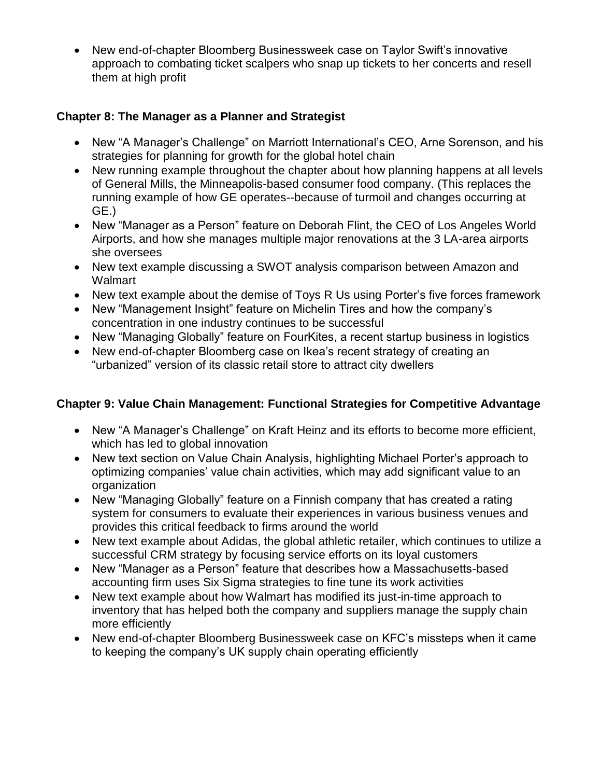• New end-of-chapter Bloomberg Businessweek case on Taylor Swift's innovative approach to combating ticket scalpers who snap up tickets to her concerts and resell them at high profit

### **Chapter 8: The Manager as a Planner and Strategist**

- New "A Manager's Challenge" on Marriott International's CEO, Arne Sorenson, and his strategies for planning for growth for the global hotel chain
- New running example throughout the chapter about how planning happens at all levels of General Mills, the Minneapolis-based consumer food company. (This replaces the running example of how GE operates--because of turmoil and changes occurring at GE.)
- New "Manager as a Person" feature on Deborah Flint, the CEO of Los Angeles World Airports, and how she manages multiple major renovations at the 3 LA-area airports she oversees
- New text example discussing a SWOT analysis comparison between Amazon and **Walmart**
- New text example about the demise of Toys R Us using Porter's five forces framework
- New "Management Insight" feature on Michelin Tires and how the company's concentration in one industry continues to be successful
- New "Managing Globally" feature on FourKites, a recent startup business in logistics
- New end-of-chapter Bloomberg case on Ikea's recent strategy of creating an "urbanized" version of its classic retail store to attract city dwellers

#### **Chapter 9: Value Chain Management: Functional Strategies for Competitive Advantage**

- New "A Manager's Challenge" on Kraft Heinz and its efforts to become more efficient, which has led to global innovation
- New text section on Value Chain Analysis, highlighting Michael Porter's approach to optimizing companies' value chain activities, which may add significant value to an organization
- New "Managing Globally" feature on a Finnish company that has created a rating system for consumers to evaluate their experiences in various business venues and provides this critical feedback to firms around the world
- New text example about Adidas, the global athletic retailer, which continues to utilize a successful CRM strategy by focusing service efforts on its loyal customers
- New "Manager as a Person" feature that describes how a Massachusetts-based accounting firm uses Six Sigma strategies to fine tune its work activities
- New text example about how Walmart has modified its just-in-time approach to inventory that has helped both the company and suppliers manage the supply chain more efficiently
- New end-of-chapter Bloomberg Businessweek case on KFC's missteps when it came to keeping the company's UK supply chain operating efficiently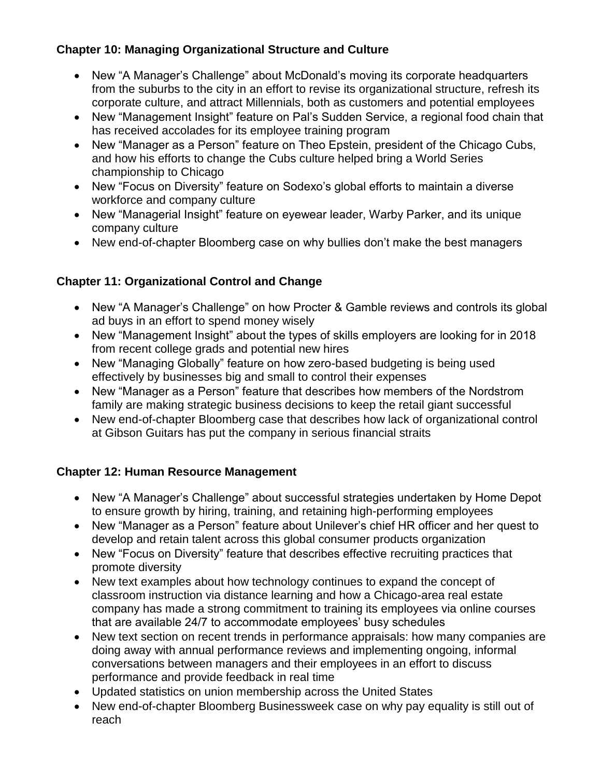### **Chapter 10: Managing Organizational Structure and Culture**

- New "A Manager's Challenge" about McDonald's moving its corporate headquarters from the suburbs to the city in an effort to revise its organizational structure, refresh its corporate culture, and attract Millennials, both as customers and potential employees
- New "Management Insight" feature on Pal's Sudden Service, a regional food chain that has received accolades for its employee training program
- New "Manager as a Person" feature on Theo Epstein, president of the Chicago Cubs, and how his efforts to change the Cubs culture helped bring a World Series championship to Chicago
- New "Focus on Diversity" feature on Sodexo's global efforts to maintain a diverse workforce and company culture
- New "Managerial Insight" feature on eyewear leader, Warby Parker, and its unique company culture
- New end-of-chapter Bloomberg case on why bullies don't make the best managers

# **Chapter 11: Organizational Control and Change**

- New "A Manager's Challenge" on how Procter & Gamble reviews and controls its global ad buys in an effort to spend money wisely
- New "Management Insight" about the types of skills employers are looking for in 2018 from recent college grads and potential new hires
- New "Managing Globally" feature on how zero-based budgeting is being used effectively by businesses big and small to control their expenses
- New "Manager as a Person" feature that describes how members of the Nordstrom family are making strategic business decisions to keep the retail giant successful
- New end-of-chapter Bloomberg case that describes how lack of organizational control at Gibson Guitars has put the company in serious financial straits

#### **Chapter 12: Human Resource Management**

- New "A Manager's Challenge" about successful strategies undertaken by Home Depot to ensure growth by hiring, training, and retaining high-performing employees
- New "Manager as a Person" feature about Unilever's chief HR officer and her quest to develop and retain talent across this global consumer products organization
- New "Focus on Diversity" feature that describes effective recruiting practices that promote diversity
- New text examples about how technology continues to expand the concept of classroom instruction via distance learning and how a Chicago-area real estate company has made a strong commitment to training its employees via online courses that are available 24/7 to accommodate employees' busy schedules
- New text section on recent trends in performance appraisals: how many companies are doing away with annual performance reviews and implementing ongoing, informal conversations between managers and their employees in an effort to discuss performance and provide feedback in real time
- Updated statistics on union membership across the United States
- New end-of-chapter Bloomberg Businessweek case on why pay equality is still out of reach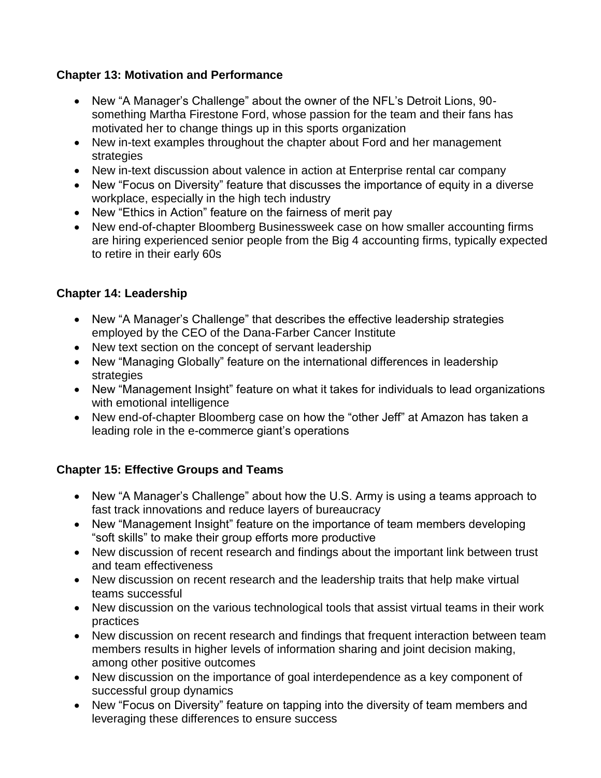### **Chapter 13: Motivation and Performance**

- New "A Manager's Challenge" about the owner of the NFL's Detroit Lions, 90 something Martha Firestone Ford, whose passion for the team and their fans has motivated her to change things up in this sports organization
- New in-text examples throughout the chapter about Ford and her management strategies
- New in-text discussion about valence in action at Enterprise rental car company
- New "Focus on Diversity" feature that discusses the importance of equity in a diverse workplace, especially in the high tech industry
- New "Ethics in Action" feature on the fairness of merit pay
- New end-of-chapter Bloomberg Businessweek case on how smaller accounting firms are hiring experienced senior people from the Big 4 accounting firms, typically expected to retire in their early 60s

### **Chapter 14: Leadership**

- New "A Manager's Challenge" that describes the effective leadership strategies employed by the CEO of the Dana-Farber Cancer Institute
- New text section on the concept of servant leadership
- New "Managing Globally" feature on the international differences in leadership strategies
- New "Management Insight" feature on what it takes for individuals to lead organizations with emotional intelligence
- New end-of-chapter Bloomberg case on how the "other Jeff" at Amazon has taken a leading role in the e-commerce giant's operations

# **Chapter 15: Effective Groups and Teams**

- New "A Manager's Challenge" about how the U.S. Army is using a teams approach to fast track innovations and reduce layers of bureaucracy
- New "Management Insight" feature on the importance of team members developing "soft skills" to make their group efforts more productive
- New discussion of recent research and findings about the important link between trust and team effectiveness
- New discussion on recent research and the leadership traits that help make virtual teams successful
- New discussion on the various technological tools that assist virtual teams in their work practices
- New discussion on recent research and findings that frequent interaction between team members results in higher levels of information sharing and joint decision making, among other positive outcomes
- New discussion on the importance of goal interdependence as a key component of successful group dynamics
- New "Focus on Diversity" feature on tapping into the diversity of team members and leveraging these differences to ensure success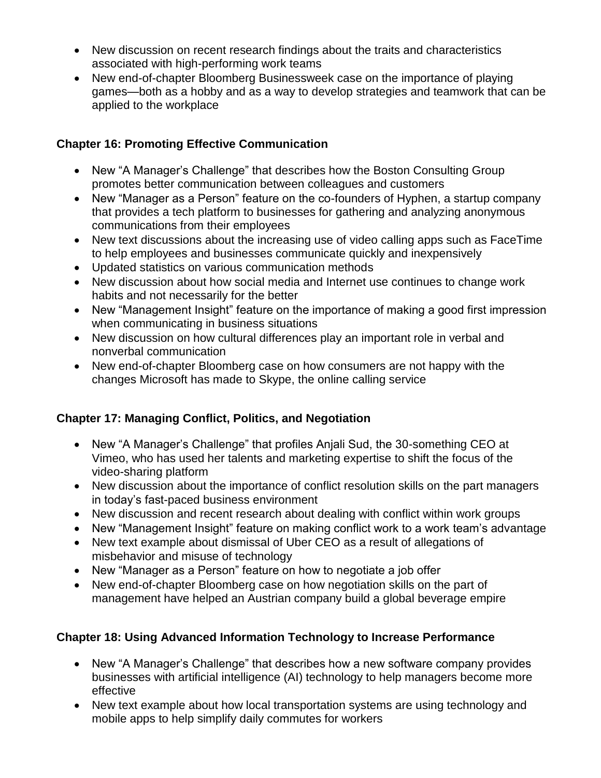- New discussion on recent research findings about the traits and characteristics associated with high-performing work teams
- New end-of-chapter Bloomberg Businessweek case on the importance of playing games—both as a hobby and as a way to develop strategies and teamwork that can be applied to the workplace

### **Chapter 16: Promoting Effective Communication**

- New "A Manager's Challenge" that describes how the Boston Consulting Group promotes better communication between colleagues and customers
- New "Manager as a Person" feature on the co-founders of Hyphen, a startup company that provides a tech platform to businesses for gathering and analyzing anonymous communications from their employees
- New text discussions about the increasing use of video calling apps such as FaceTime to help employees and businesses communicate quickly and inexpensively
- Updated statistics on various communication methods
- New discussion about how social media and Internet use continues to change work habits and not necessarily for the better
- New "Management Insight" feature on the importance of making a good first impression when communicating in business situations
- New discussion on how cultural differences play an important role in verbal and nonverbal communication
- New end-of-chapter Bloomberg case on how consumers are not happy with the changes Microsoft has made to Skype, the online calling service

# **Chapter 17: Managing Conflict, Politics, and Negotiation**

- New "A Manager's Challenge" that profiles Anjali Sud, the 30-something CEO at Vimeo, who has used her talents and marketing expertise to shift the focus of the video-sharing platform
- New discussion about the importance of conflict resolution skills on the part managers in today's fast-paced business environment
- New discussion and recent research about dealing with conflict within work groups
- New "Management Insight" feature on making conflict work to a work team's advantage
- New text example about dismissal of Uber CEO as a result of allegations of misbehavior and misuse of technology
- New "Manager as a Person" feature on how to negotiate a job offer
- New end-of-chapter Bloomberg case on how negotiation skills on the part of management have helped an Austrian company build a global beverage empire

# **Chapter 18: Using Advanced Information Technology to Increase Performance**

- New "A Manager's Challenge" that describes how a new software company provides businesses with artificial intelligence (AI) technology to help managers become more effective
- New text example about how local transportation systems are using technology and mobile apps to help simplify daily commutes for workers